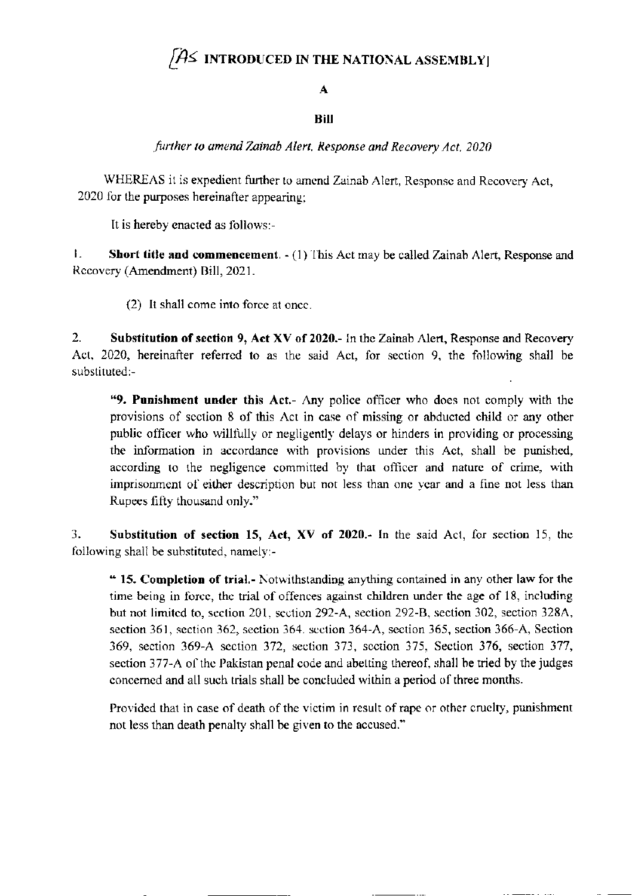# $\overline{A}$  introduced in the national assembly

## A

## **Bill**

further to amend Zainab Alert, Response and Recovery Act. 2020

WHEREAS it is expedient further to amend Zainab Alert, Response and Recovery Act, 2020 for the purposes hereinafter appearing:

It is hereby enacted as follows:-

 $\mathbf{L}$ **Short title and commencement.** - (1) This Act may be called Zainab Alert, Response and Recovery (Amendment) Bill, 2021.

(2) It shall come into force at once.

 $\overline{2}$ . Substitution of section 9, Act XV of 2020.- In the Zainab Alert, Response and Recovery Act, 2020, hereinafter referred to as the said Act, for section 9, the following shall be substituted:-

"9. Punishment under this Act.- Any police officer who does not comply with the provisions of section 8 of this Act in case of missing or abducted child or any other public officer who willfully or negligently delays or hinders in providing or processing the information in accordance with provisions under this Act, shall be punished, according to the negligence committed by that officer and nature of crime, with imprisonment of either description but not less than one year and a fine not less than Rupees fifty thousand only."

3. Substitution of section 15, Act, XV of 2020.- In the said Act, for section 15, the following shall be substituted, namely:-

" 15. Completion of trial.- Notwithstanding anything contained in any other law for the time being in force, the trial of offences against children under the age of 18, including but not limited to, section 201, section 292-A, section 292-B, section 302, section 328A, section 361, section 362, section 364. section 364-A, section 365, section 366-A, Section 369, section 369-A section 372, section 373, section 375, Section 376, section 377, section 377-A of the Pakistan penal code and abetting thereof, shall be tried by the judges concerned and all such trials shall be concluded within a period of three months.

Provided that in case of death of the victim in result of rape or other cruelty, punishment not less than death penalty shall be given to the accused."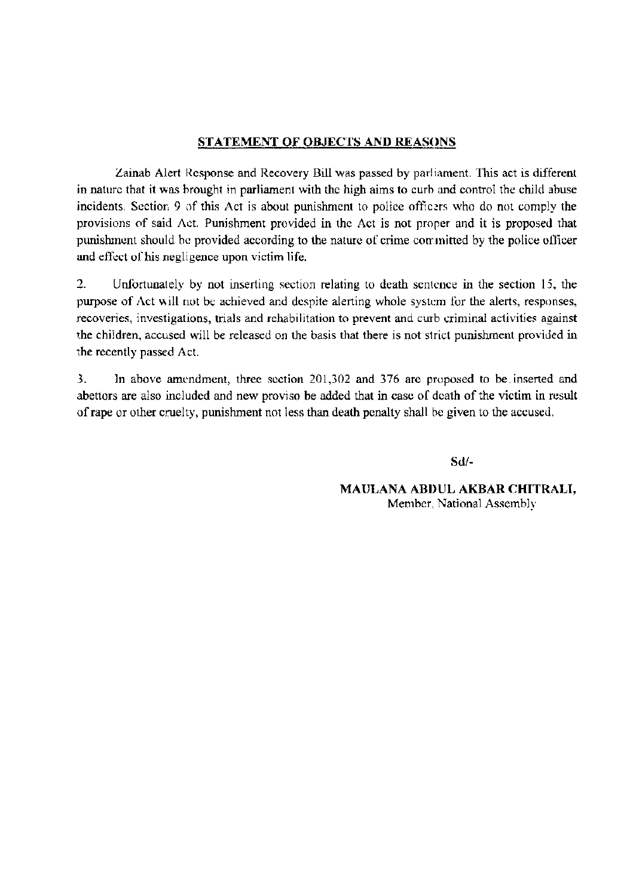#### **STATEMENT OF OBJECTS AND REASONS**

Zainab Alert Response and Recovery Bill was passed by parliament. This act is different in nature that it was brought in parliament with the high aims to curb and control the child abuse incidents. Section 9 of this Act is about punishment to police officers who do not comply the provisions of said Act. Punishment provided in the Act is not proper and it is proposed that punishment should be provided according to the nature of crime committed by the police officer and effect of his negligence upon victim life.

 $\overline{2}$ . Unfortunately by not inserting section relating to death sentence in the section 15, the purpose of Act will not be achieved and despite alerting whole system for the alerts, responses, recoveries, investigations, trials and rehabilitation to prevent and curb criminal activities against the children, accused will be released on the basis that there is not strict punishment provided in the recently passed Act.

3. In above amendment, three section 201,302 and 376 are proposed to be inserted and abettors are also included and new proviso be added that in case of death of the victim in result of rape or other cruelty, punishment not less than death penalty shall be given to the accused.

 $Sd$ /-

MAULANA ABDUL AKBAR CHITRALI, Member, National Assembly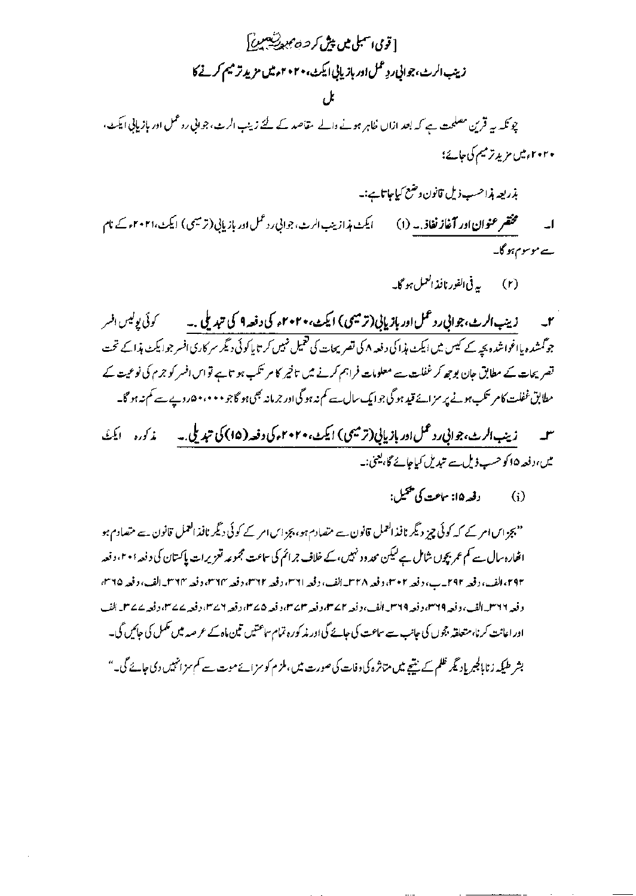# [ توی اسمبلی میں پیش کر *حہ ہی دیکھیں]* زينب الرث، جواني ردٍ عمل اور بازياني ايكث، ٢٠٢٠م ميں مزيد تر ميم كرنے كا

چونکہ ہے قرین مصلحت ہے کہ بعد ازاں خاہر ہونے والے مقاصد کے لئے زینب الرب، جوانی روعمل اور بازیابی ایکٹ، ۲۰۲۰ میں مزید ترمیم کی حائے؛

بذريعه بذاحسب ذيل قانون وضع كياجا تاين-ایکٹ ہذازینپ الرٹ، جوانی رد عمل اور بازیابی (ترمیمی) ایکٹ،۲۰۲۱ء کے نام سے موسوم ہو گا۔

جو گمشدہ بااغواشدہ بچہ کے کیس میں ایکٹ ہذا کی دفعہ ۸ کی تصریحات کی <sup>7</sup>میل نہیں کر تا پاکوئی <sub>ن</sub>گیر سرکاری افسر جوایکٹ ہذا کے تحت تصر پھات کے مطابق جان بوجھ کر غفلت سے معلومات فراہم کرنے میں تاخیر کا مر تکب ہو تاہے تو اس افسر کو جرم کی نوعیت کے مطابق غفلت کام سنگب ہونے پر سز اپنے قید ہو گی جو ایک سال سے کم نہ ہو گی اور جرمانہ بھی ہو گاجو • • • ، • ۵ روپے سے کم نہ ہو گا۔

زینب الرٹ،جوانی رد عمل اور بازیابی (ترمیمی) ایکٹ،۲۰۲۰م کی دفعہ (۱۵) کی تبدیلی. به مسلمه کرده مسلمنگ میں،دفعہ ۱۵کوحسب ڈیل سے تبدیل کیاجائے گا،یعنی:۔

> دفعه ۱۵: ساعت کی پخپل:  $(i)$

''بجز اس امر کے کہ کوئی چیز دیگر نافذ العمل قانون سے متصادم ہو، بجز اس امر کے کوئی دیگر نافذ العمل قانون سے متصادم ہو افعارہ سال سے کم عمر بچوں شامل ہے لیکن محد در نہیں، کے خلاف جرائم کی ساعت مجموعہ تعزیرات پاکستان کی د فعہ ۲۰۱۰ دفعہ ۴۹۲، القب، دفعہ ۲۹۲ \_ ب، دفعہ ۲+سم، وفعہ ۳۲۸\_الف، وفعہ ۳۱۱م، دفعہ ۲۳۱م، دفعہ ۳۶۳م، دفعہ ۳۲۳\_الف، دفعہ ۳۵۵، د فعہ ۱۳۶۶ – القب ، وفعہ ۱۳۶۹ء وفعہ ۱۳۶۹ – القب ، وفعہ ۱۳۷۲ء وفعہ سمیت ۱۳۷۲ء وفعہ ۲۵۲۲ء وفعہ ۲۵۷۲ء وفعہ ۲۵۷۲ الف اور اعانت کرنا،متعلقہ ججوں کی جانب سے ساعت کی جائے گی اور پذکورہ تمام ساعتیں تین ماہ کے عرصہ میں تکمل کی جائیں گی۔ بشر طیکہ زنابالجبریاد ٹیمر ظلم کے نتیجے میں متاثرہ کی وفات کی صورت میں، ملز م کو سز اسے موت سے کم سزانہیں دی جائے گی۔"